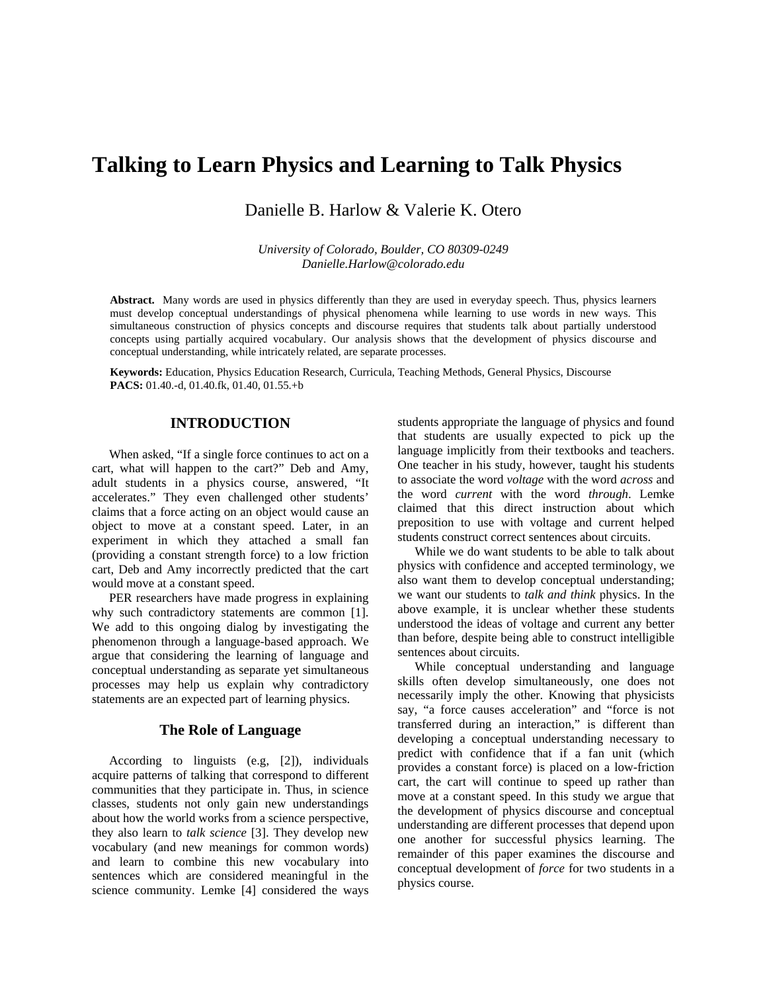# **Talking to Learn Physics and Learning to Talk Physics**

Danielle B. Harlow & Valerie K. Otero

*University of Colorado, Boulder, CO 80309-0249 Danielle.Harlow@colorado.edu* 

**Abstract.** Many words are used in physics differently than they are used in everyday speech. Thus, physics learners must develop conceptual understandings of physical phenomena while learning to use words in new ways. This simultaneous construction of physics concepts and discourse requires that students talk about partially understood concepts using partially acquired vocabulary. Our analysis shows that the development of physics discourse and conceptual understanding, while intricately related, are separate processes.

**Keywords:** Education, Physics Education Research, Curricula, Teaching Methods, General Physics, Discourse **PACS:** 01.40.-d, 01.40.fk, 01.40, 01.55.+b

#### **INTRODUCTION**

When asked, "If a single force continues to act on a cart, what will happen to the cart?" Deb and Amy, adult students in a physics course, answered, "It accelerates." They even challenged other students' claims that a force acting on an object would cause an object to move at a constant speed. Later, in an experiment in which they attached a small fan (providing a constant strength force) to a low friction cart, Deb and Amy incorrectly predicted that the cart would move at a constant speed.

PER researchers have made progress in explaining why such contradictory statements are common [1]. We add to this ongoing dialog by investigating the phenomenon through a language-based approach. We argue that considering the learning of language and conceptual understanding as separate yet simultaneous processes may help us explain why contradictory statements are an expected part of learning physics.

#### **The Role of Language**

According to linguists (e.g, [2]), individuals acquire patterns of talking that correspond to different communities that they participate in. Thus, in science classes, students not only gain new understandings about how the world works from a science perspective, they also learn to *talk science* [3]. They develop new vocabulary (and new meanings for common words) and learn to combine this new vocabulary into sentences which are considered meaningful in the science community. Lemke [4] considered the ways students appropriate the language of physics and found that students are usually expected to pick up the language implicitly from their textbooks and teachers. One teacher in his study, however, taught his students to associate the word *voltage* with the word *across* and the word *current* with the word *through*. Lemke claimed that this direct instruction about which preposition to use with voltage and current helped students construct correct sentences about circuits.

While we do want students to be able to talk about physics with confidence and accepted terminology, we also want them to develop conceptual understanding; we want our students to *talk and think* physics. In the above example, it is unclear whether these students understood the ideas of voltage and current any better than before, despite being able to construct intelligible sentences about circuits.

While conceptual understanding and language skills often develop simultaneously, one does not necessarily imply the other. Knowing that physicists say, "a force causes acceleration" and "force is not transferred during an interaction," is different than developing a conceptual understanding necessary to predict with confidence that if a fan unit (which provides a constant force) is placed on a low-friction cart, the cart will continue to speed up rather than move at a constant speed. In this study we argue that the development of physics discourse and conceptual understanding are different processes that depend upon one another for successful physics learning. The remainder of this paper examines the discourse and conceptual development of *force* for two students in a physics course.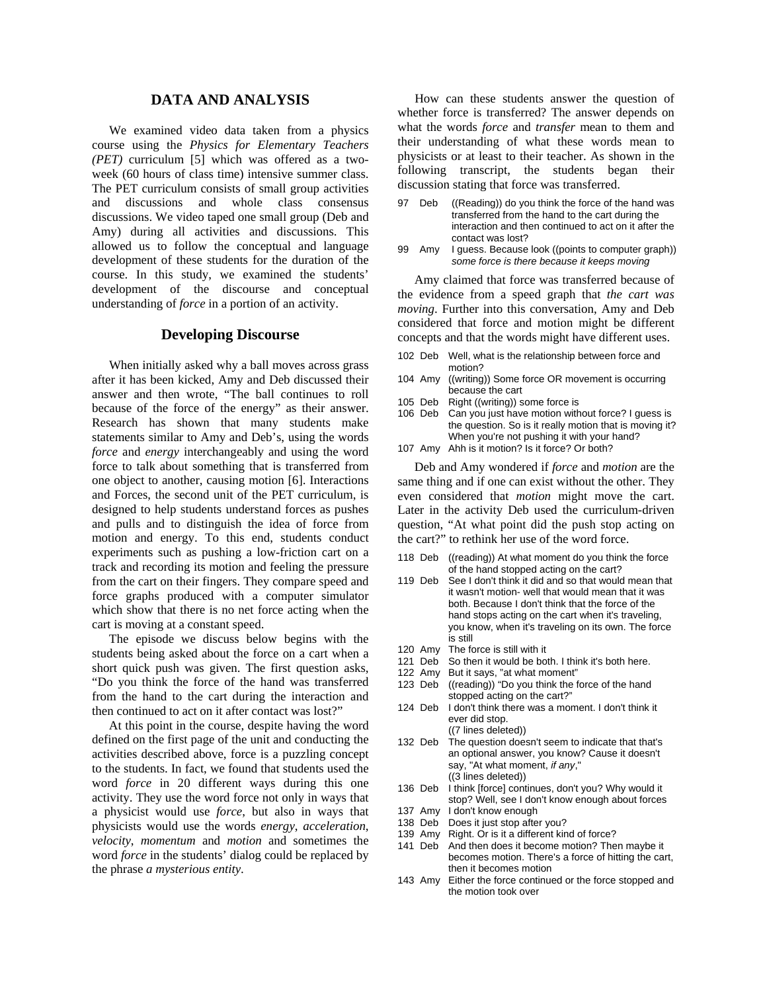## **DATA AND ANALYSIS**

We examined video data taken from a physics course using the *Physics for Elementary Teachers (PET)* curriculum [5] which was offered as a twoweek (60 hours of class time) intensive summer class. The PET curriculum consists of small group activities and discussions and whole class consensus discussions. We video taped one small group (Deb and Amy) during all activities and discussions. This allowed us to follow the conceptual and language development of these students for the duration of the course. In this study, we examined the students' development of the discourse and conceptual understanding of *force* in a portion of an activity.

#### **Developing Discourse**

When initially asked why a ball moves across grass after it has been kicked, Amy and Deb discussed their answer and then wrote, "The ball continues to roll because of the force of the energy" as their answer. Research has shown that many students make statements similar to Amy and Deb's, using the words *force* and *energy* interchangeably and using the word force to talk about something that is transferred from one object to another, causing motion [6]. Interactions and Forces, the second unit of the PET curriculum, is designed to help students understand forces as pushes and pulls and to distinguish the idea of force from motion and energy. To this end, students conduct experiments such as pushing a low-friction cart on a track and recording its motion and feeling the pressure from the cart on their fingers. They compare speed and force graphs produced with a computer simulator which show that there is no net force acting when the cart is moving at a constant speed.

The episode we discuss below begins with the students being asked about the force on a cart when a short quick push was given. The first question asks, "Do you think the force of the hand was transferred from the hand to the cart during the interaction and then continued to act on it after contact was lost?"

At this point in the course, despite having the word defined on the first page of the unit and conducting the activities described above, force is a puzzling concept to the students. In fact, we found that students used the word *force* in 20 different ways during this one activity. They use the word force not only in ways that a physicist would use *force*, but also in ways that physicists would use the words *energy*, *acceleration*, *velocity*, *momentum* and *motion* and sometimes the word *force* in the students' dialog could be replaced by the phrase *a mysterious entity*.

How can these students answer the question of whether force is transferred? The answer depends on what the words *force* and *transfer* mean to them and their understanding of what these words mean to physicists or at least to their teacher. As shown in the following transcript, the students began their discussion stating that force was transferred.

- 97 Deb ((Reading)) do you think the force of the hand was transferred from the hand to the cart during the interaction and then continued to act on it after the contact was lost?
- 99 Amy I guess. Because look ((points to computer graph)) *some force is there because it keeps moving*

Amy claimed that force was transferred because of the evidence from a speed graph that *the cart was moving*. Further into this conversation, Amy and Deb considered that force and motion might be different concepts and that the words might have different uses.

- 102 Deb Well, what is the relationship between force and motion?
- 104 Amy ((writing)) Some force OR movement is occurring because the cart
- 105 Deb Right ((writing)) some force is
- 106 Deb Can you just have motion without force? I guess is the question. So is it really motion that is moving it? When you're not pushing it with your hand?
- 107 Amy Ahh is it motion? Is it force? Or both?

Deb and Amy wondered if *force* and *motion* are the same thing and if one can exist without the other. They even considered that *motion* might move the cart. Later in the activity Deb used the curriculum-driven question, "At what point did the push stop acting on the cart?" to rethink her use of the word force.

- 118 Deb ((reading)) At what moment do you think the force of the hand stopped acting on the cart?
- 119 Deb See I don't think it did and so that would mean that it wasn't motion- well that would mean that it was both. Because I don't think that the force of the hand stops acting on the cart when it's traveling, you know, when it's traveling on its own. The force is still
- 120 Amy The force is still with it
- 121 Deb So then it would be both. I think it's both here.<br>122 Amy But it says, "at what moment"
- 122 Amy But it says, "at what moment"<br>123 Deb ((reading)) "Do you think the f
- $((\text{reading}))$  "Do you think the force of the hand stopped acting on the cart?"
- 124 Deb I don't think there was a moment. I don't think it ever did stop.
- ((7 lines deleted)<br>132 Deb The question does The question doesn't seem to indicate that that's an optional answer, you know? Cause it doesn't say, "At what moment, *if any*,"
- ((3 lines deleted))<br>136 Deb I think [force] cont I think [force] continues, don't you? Why would it stop? Well, see I don't know enough about forces
- 137 Amy I don't know enough
- 138 Deb Does it just stop after you?
- 139 Amy Right. Or is it a different kind of force?
- 141 Deb And then does it become motion? Then maybe it becomes motion. There's a force of hitting the cart, then it becomes motion
- 143 Amy Either the force continued or the force stopped and the motion took over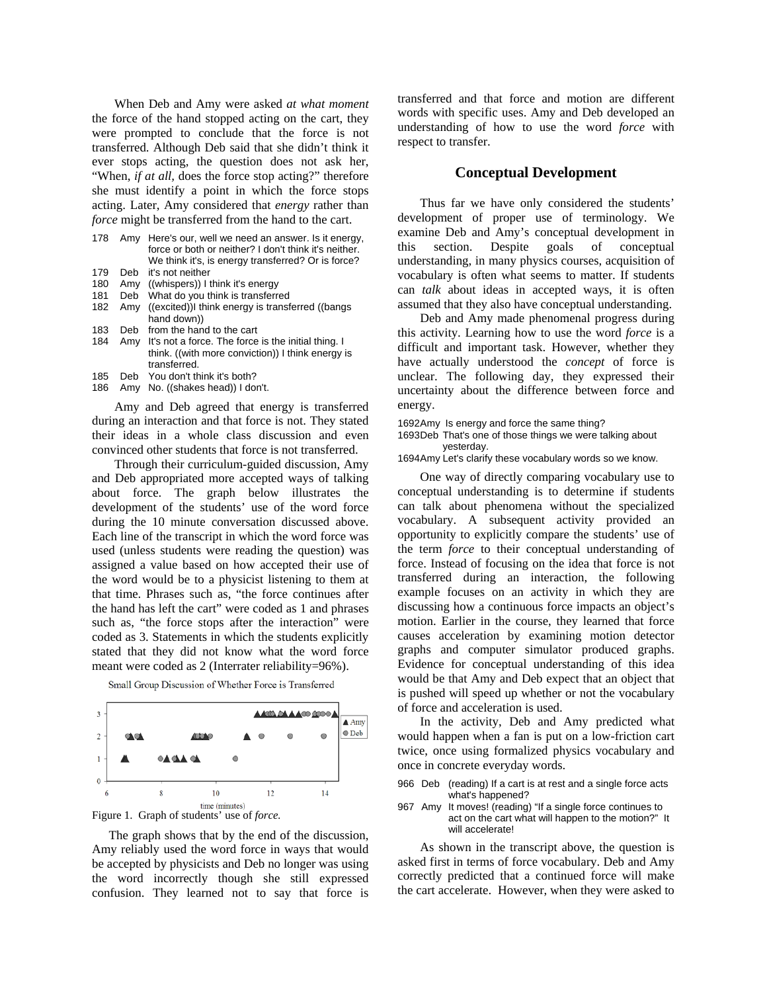When Deb and Amy were asked *at what moment* the force of the hand stopped acting on the cart, they were prompted to conclude that the force is not transferred. Although Deb said that she didn't think it ever stops acting, the question does not ask her, "When, *if at all,* does the force stop acting?" therefore she must identify a point in which the force stops acting. Later, Amy considered that *energy* rather than *force* might be transferred from the hand to the cart.

| 178 | Amy Here's our, well we need an answer. Is it energy, |
|-----|-------------------------------------------------------|
|     | force or both or neither? I don't think it's neither. |
|     | We think it's, is energy transferred? Or is force?    |
| 179 | Deb it's not neither                                  |

- 
- 180 Amy ((whispers)) I think it's energy 181 Deb What do you think is transferred
- 182 Amy ((excited))I think energy is transferred ((bangs
- hand down)) 183 Deb from the hand to the cart
- 184 Amy It's not a force. The force is the initial thing. I think. ((with more conviction)) I think energy is transferred.
- 185 Deb You don't think it's both?
- 186 Amy No. ((shakes head)) I don't.

Amy and Deb agreed that energy is transferred during an interaction and that force is not. They stated their ideas in a whole class discussion and even convinced other students that force is not transferred.

Through their curriculum-guided discussion, Amy and Deb appropriated more accepted ways of talking about force. The graph below illustrates the development of the students' use of the word force during the 10 minute conversation discussed above. Each line of the transcript in which the word force was used (unless students were reading the question) was assigned a value based on how accepted their use of the word would be to a physicist listening to them at that time. Phrases such as, "the force continues after the hand has left the cart" were coded as 1 and phrases such as, "the force stops after the interaction" were coded as 3. Statements in which the students explicitly stated that they did not know what the word force meant were coded as 2 (Interrater reliability=96%).

Small Group Discussion of Whether Force is Transferred





The graph shows that by the end of the discussion, Amy reliably used the word force in ways that would be accepted by physicists and Deb no longer was using the word incorrectly though she still expressed confusion. They learned not to say that force is

transferred and that force and motion are different words with specific uses. Amy and Deb developed an understanding of how to use the word *force* with respect to transfer.

## **Conceptual Development**

Thus far we have only considered the students' development of proper use of terminology. We examine Deb and Amy's conceptual development in this section. Despite goals of conceptual understanding, in many physics courses, acquisition of vocabulary is often what seems to matter. If students can *talk* about ideas in accepted ways, it is often assumed that they also have conceptual understanding.

Deb and Amy made phenomenal progress during this activity. Learning how to use the word *force* is a difficult and important task. However, whether they have actually understood the *concept* of force is unclear. The following day, they expressed their uncertainty about the difference between force and energy.

1692Amy Is energy and force the same thing?

1693Deb That's one of those things we were talking about yesterday.

1694Amy Let's clarify these vocabulary words so we know.

One way of directly comparing vocabulary use to conceptual understanding is to determine if students can talk about phenomena without the specialized vocabulary. A subsequent activity provided an opportunity to explicitly compare the students' use of the term *force* to their conceptual understanding of force. Instead of focusing on the idea that force is not transferred during an interaction, the following example focuses on an activity in which they are discussing how a continuous force impacts an object's motion. Earlier in the course, they learned that force causes acceleration by examining motion detector graphs and computer simulator produced graphs. Evidence for conceptual understanding of this idea would be that Amy and Deb expect that an object that is pushed will speed up whether or not the vocabulary of force and acceleration is used.

In the activity, Deb and Amy predicted what would happen when a fan is put on a low-friction cart twice, once using formalized physics vocabulary and once in concrete everyday words.

- 966 Deb (reading) If a cart is at rest and a single force acts what's happened?
- 967 Amy It moves! (reading) "If a single force continues to act on the cart what will happen to the motion?" It will accelerate!

As shown in the transcript above, the question is asked first in terms of force vocabulary. Deb and Amy correctly predicted that a continued force will make the cart accelerate. However, when they were asked to